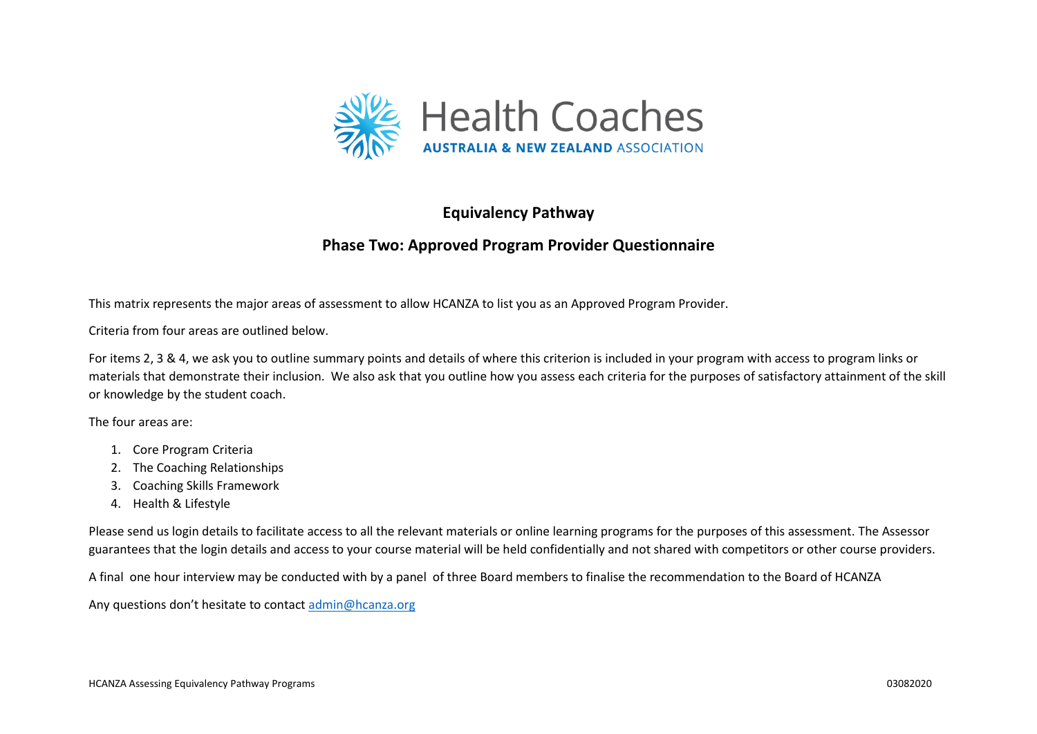

# **Equivalency Pathway**

# **Phase Two: Approved Program Provider Questionnaire**

This matrix represents the major areas of assessment to allow HCANZA to list you as an Approved Program Provider.

Criteria from four areas are outlined below.

For items 2, 3 & 4, we ask you to outline summary points and details of where this criterion is included in your program with access to program links or materials that demonstrate their inclusion. We also ask that you outline how you assess each criteria for the purposes of satisfactory attainment of the skill or knowledge by the student coach.

The four areas are:

- 1. Core Program Criteria
- 2. The Coaching Relationships
- 3. Coaching Skills Framework
- 4. Health & Lifestyle

Please send us login details to facilitate access to all the relevant materials or online learning programs for the purposes of this assessment. The Assessor guarantees that the login details and access to your course material will be held confidentially and not shared with competitors or other course providers.

A final one hour interview may be conducted with by a panel of three Board members to finalise the recommendation to the Board of HCANZA

Any questions don't hesitate to contact [admin@hcanza.org](mailto:admin@hcanza.org)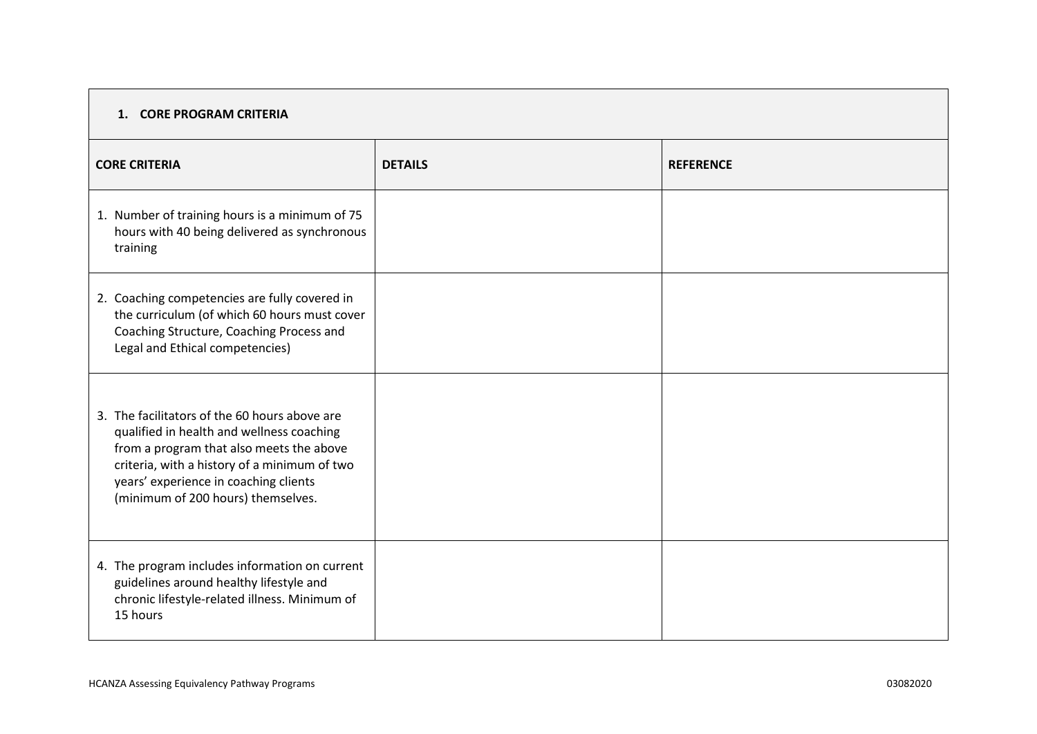# **1. CORE PROGRAM CRITERIA**

| <b>CORE CRITERIA</b>                                                                                                                                                                                                                                                  | <b>DETAILS</b> | <b>REFERENCE</b> |
|-----------------------------------------------------------------------------------------------------------------------------------------------------------------------------------------------------------------------------------------------------------------------|----------------|------------------|
| 1. Number of training hours is a minimum of 75<br>hours with 40 being delivered as synchronous<br>training                                                                                                                                                            |                |                  |
| 2. Coaching competencies are fully covered in<br>the curriculum (of which 60 hours must cover<br>Coaching Structure, Coaching Process and<br>Legal and Ethical competencies)                                                                                          |                |                  |
| 3. The facilitators of the 60 hours above are<br>qualified in health and wellness coaching<br>from a program that also meets the above<br>criteria, with a history of a minimum of two<br>years' experience in coaching clients<br>(minimum of 200 hours) themselves. |                |                  |
| 4. The program includes information on current<br>guidelines around healthy lifestyle and<br>chronic lifestyle-related illness. Minimum of<br>15 hours                                                                                                                |                |                  |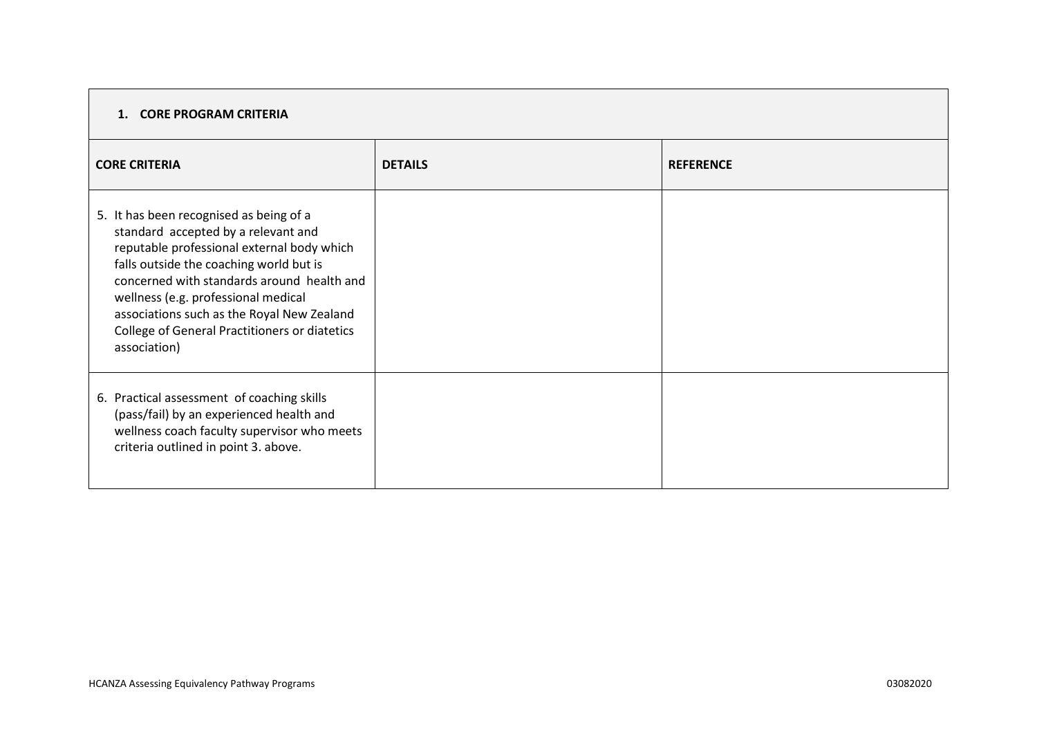# **1. CORE PROGRAM CRITERIA**

| <b>CORE CRITERIA</b>                                                                                                                                                                                                                                                                                                                                                        | <b>DETAILS</b> | <b>REFERENCE</b> |
|-----------------------------------------------------------------------------------------------------------------------------------------------------------------------------------------------------------------------------------------------------------------------------------------------------------------------------------------------------------------------------|----------------|------------------|
| 5. It has been recognised as being of a<br>standard accepted by a relevant and<br>reputable professional external body which<br>falls outside the coaching world but is<br>concerned with standards around health and<br>wellness (e.g. professional medical<br>associations such as the Royal New Zealand<br>College of General Practitioners or diatetics<br>association) |                |                  |
| 6. Practical assessment of coaching skills<br>(pass/fail) by an experienced health and<br>wellness coach faculty supervisor who meets<br>criteria outlined in point 3. above.                                                                                                                                                                                               |                |                  |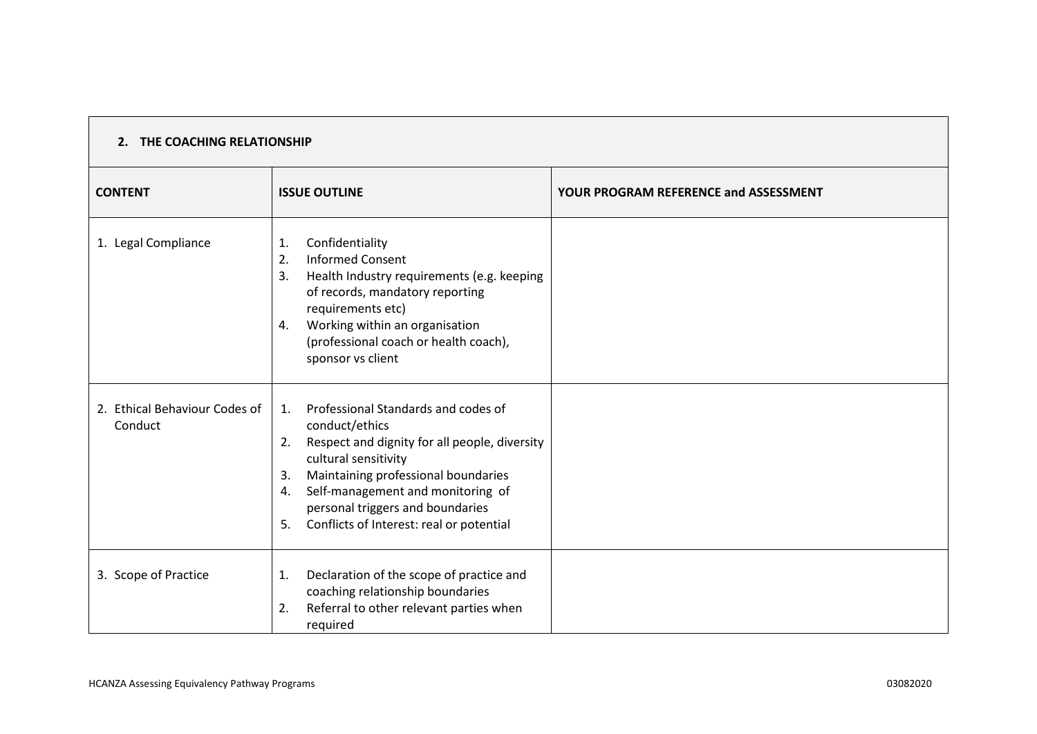| 2. THE COACHING RELATIONSHIP             |                                                                                                                                                                                                                                                                                                                          |                                              |
|------------------------------------------|--------------------------------------------------------------------------------------------------------------------------------------------------------------------------------------------------------------------------------------------------------------------------------------------------------------------------|----------------------------------------------|
| <b>CONTENT</b>                           | <b>ISSUE OUTLINE</b>                                                                                                                                                                                                                                                                                                     | <b>YOUR PROGRAM REFERENCE and ASSESSMENT</b> |
| 1. Legal Compliance                      | Confidentiality<br>1.<br><b>Informed Consent</b><br>2.<br>Health Industry requirements (e.g. keeping<br>3.<br>of records, mandatory reporting<br>requirements etc)<br>Working within an organisation<br>4.<br>(professional coach or health coach),<br>sponsor vs client                                                 |                                              |
| 2. Ethical Behaviour Codes of<br>Conduct | Professional Standards and codes of<br>1.<br>conduct/ethics<br>Respect and dignity for all people, diversity<br>2.<br>cultural sensitivity<br>Maintaining professional boundaries<br>3.<br>Self-management and monitoring of<br>4.<br>personal triggers and boundaries<br>Conflicts of Interest: real or potential<br>5. |                                              |
| 3. Scope of Practice                     | Declaration of the scope of practice and<br>1.<br>coaching relationship boundaries<br>Referral to other relevant parties when<br>2.<br>required                                                                                                                                                                          |                                              |

 $\Box$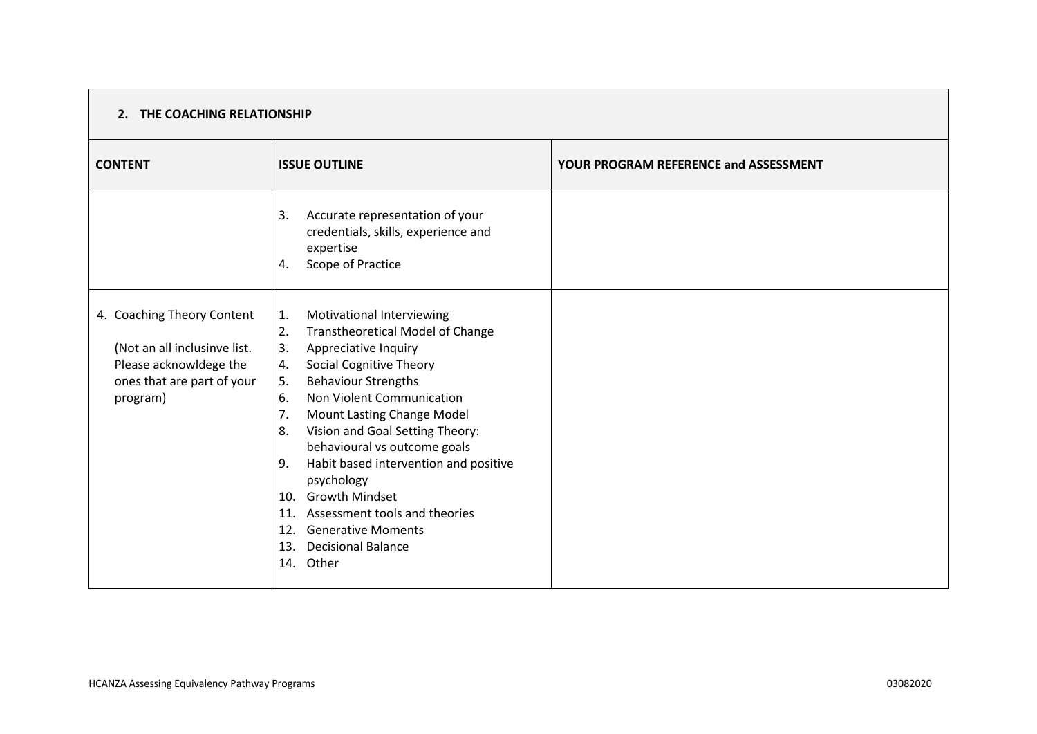### **2. THE COACHING RELATIONSHIP**

| <b>CONTENT</b>                                                                                                                 | <b>ISSUE OUTLINE</b>                                                                                                                                                                                                                                                                                                                                                                                                                                                                                                                                       | <b>YOUR PROGRAM REFERENCE and ASSESSMENT</b> |
|--------------------------------------------------------------------------------------------------------------------------------|------------------------------------------------------------------------------------------------------------------------------------------------------------------------------------------------------------------------------------------------------------------------------------------------------------------------------------------------------------------------------------------------------------------------------------------------------------------------------------------------------------------------------------------------------------|----------------------------------------------|
|                                                                                                                                | Accurate representation of your<br>3.<br>credentials, skills, experience and<br>expertise<br>Scope of Practice<br>4.                                                                                                                                                                                                                                                                                                                                                                                                                                       |                                              |
| 4. Coaching Theory Content<br>(Not an all inclusinve list.<br>Please acknowldege the<br>ones that are part of your<br>program) | Motivational Interviewing<br>1.<br>2.<br><b>Transtheoretical Model of Change</b><br>3.<br>Appreciative Inquiry<br><b>Social Cognitive Theory</b><br>4.<br><b>Behaviour Strengths</b><br>5.<br>Non Violent Communication<br>6.<br>Mount Lasting Change Model<br>7.<br>Vision and Goal Setting Theory:<br>8.<br>behavioural vs outcome goals<br>Habit based intervention and positive<br>9.<br>psychology<br>10. Growth Mindset<br>Assessment tools and theories<br>11.<br><b>Generative Moments</b><br>12.<br><b>Decisional Balance</b><br>13.<br>14. Other |                                              |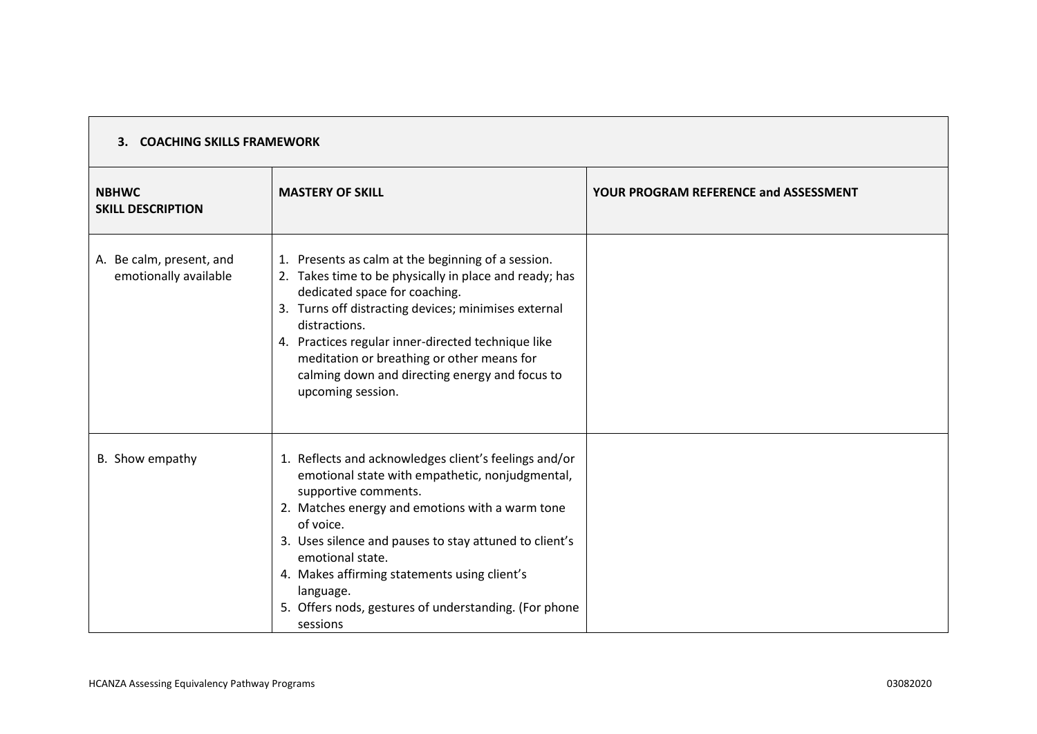| 3. COACHING SKILLS FRAMEWORK                      |                                                                                                                                                                                                                                                                                                                                                                                                                  |                                              |
|---------------------------------------------------|------------------------------------------------------------------------------------------------------------------------------------------------------------------------------------------------------------------------------------------------------------------------------------------------------------------------------------------------------------------------------------------------------------------|----------------------------------------------|
| <b>NBHWC</b><br><b>SKILL DESCRIPTION</b>          | <b>MASTERY OF SKILL</b>                                                                                                                                                                                                                                                                                                                                                                                          | <b>YOUR PROGRAM REFERENCE and ASSESSMENT</b> |
| A. Be calm, present, and<br>emotionally available | 1. Presents as calm at the beginning of a session.<br>2. Takes time to be physically in place and ready; has<br>dedicated space for coaching.<br>3. Turns off distracting devices; minimises external<br>distractions.<br>4. Practices regular inner-directed technique like<br>meditation or breathing or other means for<br>calming down and directing energy and focus to<br>upcoming session.                |                                              |
| B. Show empathy                                   | 1. Reflects and acknowledges client's feelings and/or<br>emotional state with empathetic, nonjudgmental,<br>supportive comments.<br>2. Matches energy and emotions with a warm tone<br>of voice.<br>3. Uses silence and pauses to stay attuned to client's<br>emotional state.<br>4. Makes affirming statements using client's<br>language.<br>5. Offers nods, gestures of understanding. (For phone<br>sessions |                                              |

 $\Gamma$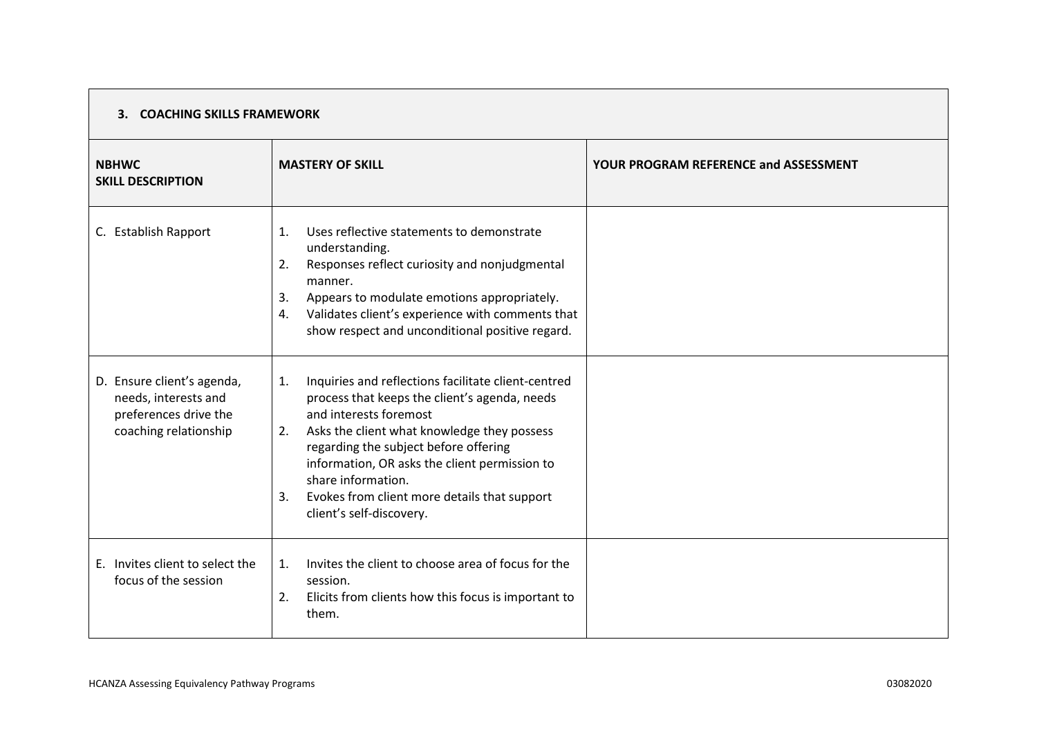| <b>NBHWC</b><br><b>SKILL DESCRIPTION</b>                                                             | <b>MASTERY OF SKILL</b>                                                                                                                                                                                                                                                                                                                                                                     | YOUR PROGRAM REFERENCE and ASSESSMENT |
|------------------------------------------------------------------------------------------------------|---------------------------------------------------------------------------------------------------------------------------------------------------------------------------------------------------------------------------------------------------------------------------------------------------------------------------------------------------------------------------------------------|---------------------------------------|
| C. Establish Rapport                                                                                 | Uses reflective statements to demonstrate<br>$\mathbf{1}$ .<br>understanding.<br>Responses reflect curiosity and nonjudgmental<br>2.<br>manner.<br>Appears to modulate emotions appropriately.<br>3.<br>Validates client's experience with comments that<br>4.<br>show respect and unconditional positive regard.                                                                           |                                       |
| D. Ensure client's agenda,<br>needs, interests and<br>preferences drive the<br>coaching relationship | Inquiries and reflections facilitate client-centred<br>1.<br>process that keeps the client's agenda, needs<br>and interests foremost<br>Asks the client what knowledge they possess<br>2.<br>regarding the subject before offering<br>information, OR asks the client permission to<br>share information.<br>Evokes from client more details that support<br>3.<br>client's self-discovery. |                                       |
| E. Invites client to select the<br>focus of the session                                              | Invites the client to choose area of focus for the<br>$\mathbf{1}$ .<br>session.<br>Elicits from clients how this focus is important to<br>2.<br>them.                                                                                                                                                                                                                                      |                                       |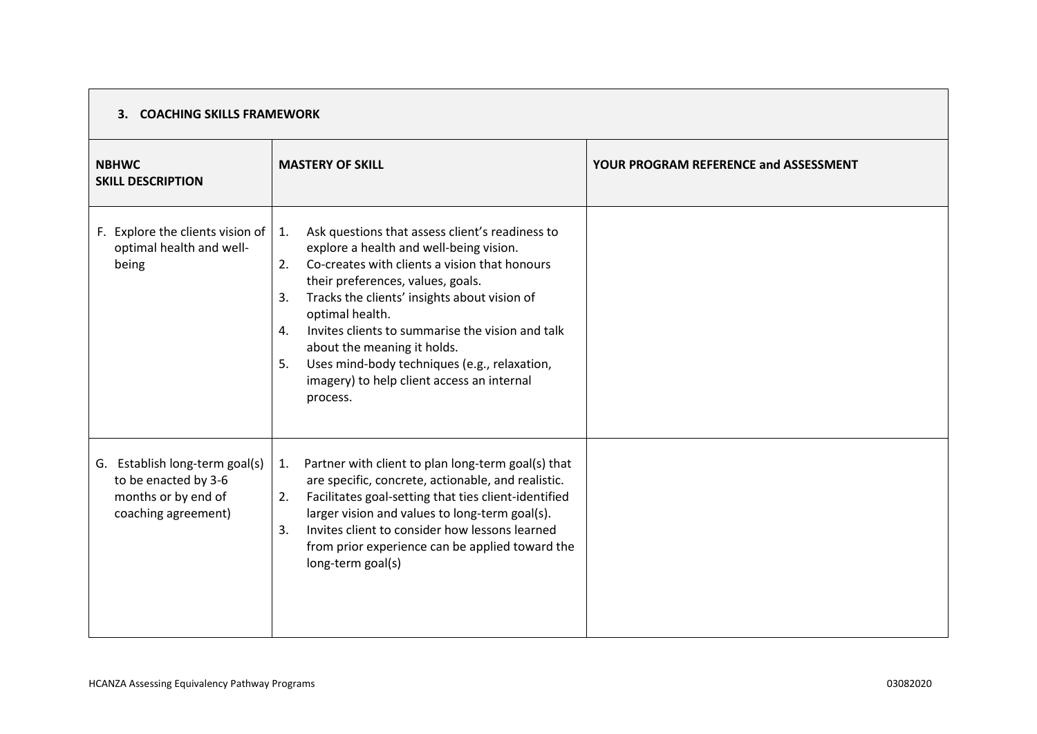| <b>NBHWC</b><br><b>SKILL DESCRIPTION</b>                                                             | <b>MASTERY OF SKILL</b>                                                                                                                                                                                                                                                                                                                                                                                                                                                        | <b>YOUR PROGRAM REFERENCE and ASSESSMENT</b> |
|------------------------------------------------------------------------------------------------------|--------------------------------------------------------------------------------------------------------------------------------------------------------------------------------------------------------------------------------------------------------------------------------------------------------------------------------------------------------------------------------------------------------------------------------------------------------------------------------|----------------------------------------------|
| F. Explore the clients vision of<br>optimal health and well-<br>being                                | Ask questions that assess client's readiness to<br>1.<br>explore a health and well-being vision.<br>Co-creates with clients a vision that honours<br>2.<br>their preferences, values, goals.<br>Tracks the clients' insights about vision of<br>3.<br>optimal health.<br>Invites clients to summarise the vision and talk<br>4.<br>about the meaning it holds.<br>Uses mind-body techniques (e.g., relaxation,<br>5.<br>imagery) to help client access an internal<br>process. |                                              |
| G. Establish long-term goal(s)<br>to be enacted by 3-6<br>months or by end of<br>coaching agreement) | Partner with client to plan long-term goal(s) that<br>1.<br>are specific, concrete, actionable, and realistic.<br>Facilitates goal-setting that ties client-identified<br>2.<br>larger vision and values to long-term goal(s).<br>Invites client to consider how lessons learned<br>3.<br>from prior experience can be applied toward the<br>long-term goal(s)                                                                                                                 |                                              |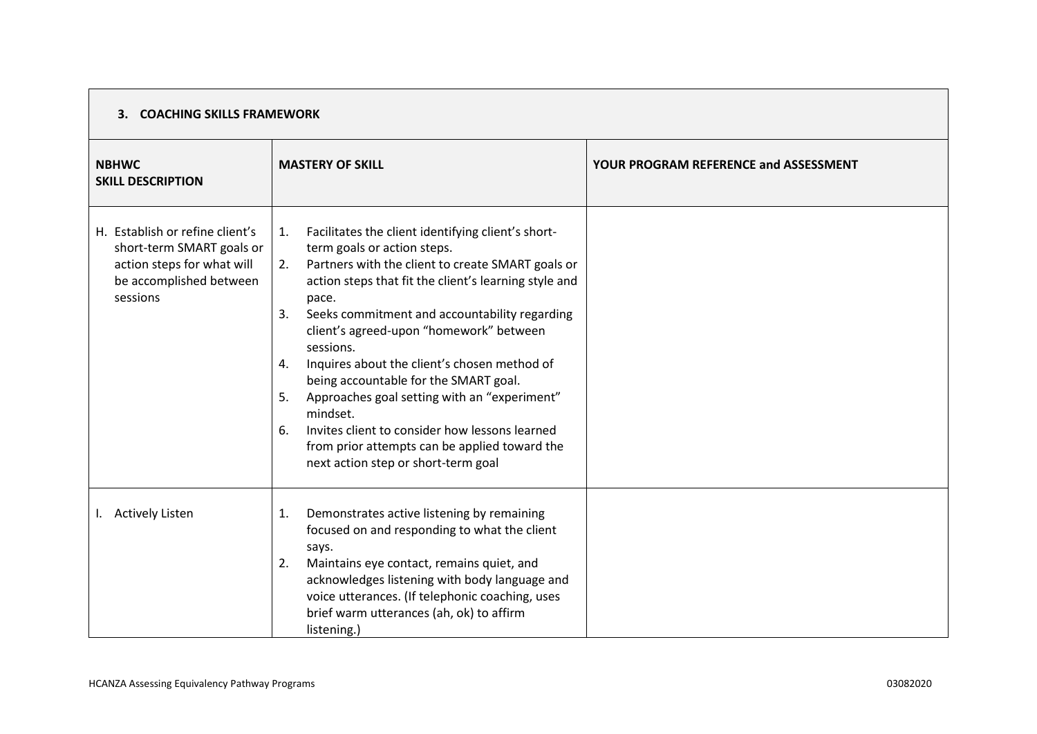| <b>NBHWC</b><br><b>SKILL DESCRIPTION</b>                                                                                          | <b>MASTERY OF SKILL</b>                                                                                                                                                                                                                                                                                                                                                                                                                                                                                                                                                                                                                              | YOUR PROGRAM REFERENCE and ASSESSMENT |
|-----------------------------------------------------------------------------------------------------------------------------------|------------------------------------------------------------------------------------------------------------------------------------------------------------------------------------------------------------------------------------------------------------------------------------------------------------------------------------------------------------------------------------------------------------------------------------------------------------------------------------------------------------------------------------------------------------------------------------------------------------------------------------------------------|---------------------------------------|
| H. Establish or refine client's<br>short-term SMART goals or<br>action steps for what will<br>be accomplished between<br>sessions | Facilitates the client identifying client's short-<br>1.<br>term goals or action steps.<br>Partners with the client to create SMART goals or<br>2.<br>action steps that fit the client's learning style and<br>pace.<br>Seeks commitment and accountability regarding<br>3.<br>client's agreed-upon "homework" between<br>sessions.<br>Inquires about the client's chosen method of<br>4.<br>being accountable for the SMART goal.<br>Approaches goal setting with an "experiment"<br>5.<br>mindset.<br>Invites client to consider how lessons learned<br>6.<br>from prior attempts can be applied toward the<br>next action step or short-term goal |                                       |
| I. Actively Listen                                                                                                                | Demonstrates active listening by remaining<br>1.<br>focused on and responding to what the client<br>says.<br>2.<br>Maintains eye contact, remains quiet, and<br>acknowledges listening with body language and<br>voice utterances. (If telephonic coaching, uses<br>brief warm utterances (ah, ok) to affirm<br>listening.)                                                                                                                                                                                                                                                                                                                          |                                       |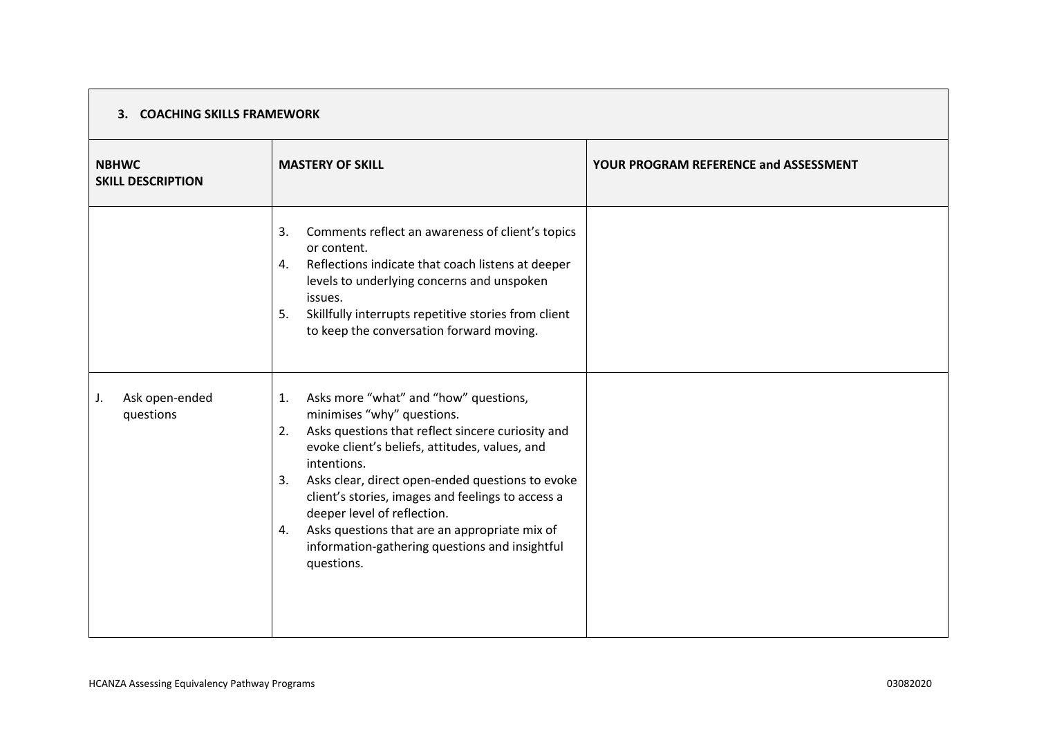| <b>NBHWC</b><br><b>SKILL DESCRIPTION</b> | <b>MASTERY OF SKILL</b>                                                                                                                                                                                                                                                                                                                                                                                                                                                    | <b>YOUR PROGRAM REFERENCE and ASSESSMENT</b> |
|------------------------------------------|----------------------------------------------------------------------------------------------------------------------------------------------------------------------------------------------------------------------------------------------------------------------------------------------------------------------------------------------------------------------------------------------------------------------------------------------------------------------------|----------------------------------------------|
|                                          | Comments reflect an awareness of client's topics<br>3.<br>or content.<br>Reflections indicate that coach listens at deeper<br>4.<br>levels to underlying concerns and unspoken<br>issues.<br>Skillfully interrupts repetitive stories from client<br>5.<br>to keep the conversation forward moving.                                                                                                                                                                        |                                              |
| Ask open-ended<br>J.<br>questions        | Asks more "what" and "how" questions,<br>1.<br>minimises "why" questions.<br>Asks questions that reflect sincere curiosity and<br>2.<br>evoke client's beliefs, attitudes, values, and<br>intentions.<br>Asks clear, direct open-ended questions to evoke<br>3.<br>client's stories, images and feelings to access a<br>deeper level of reflection.<br>Asks questions that are an appropriate mix of<br>4.<br>information-gathering questions and insightful<br>questions. |                                              |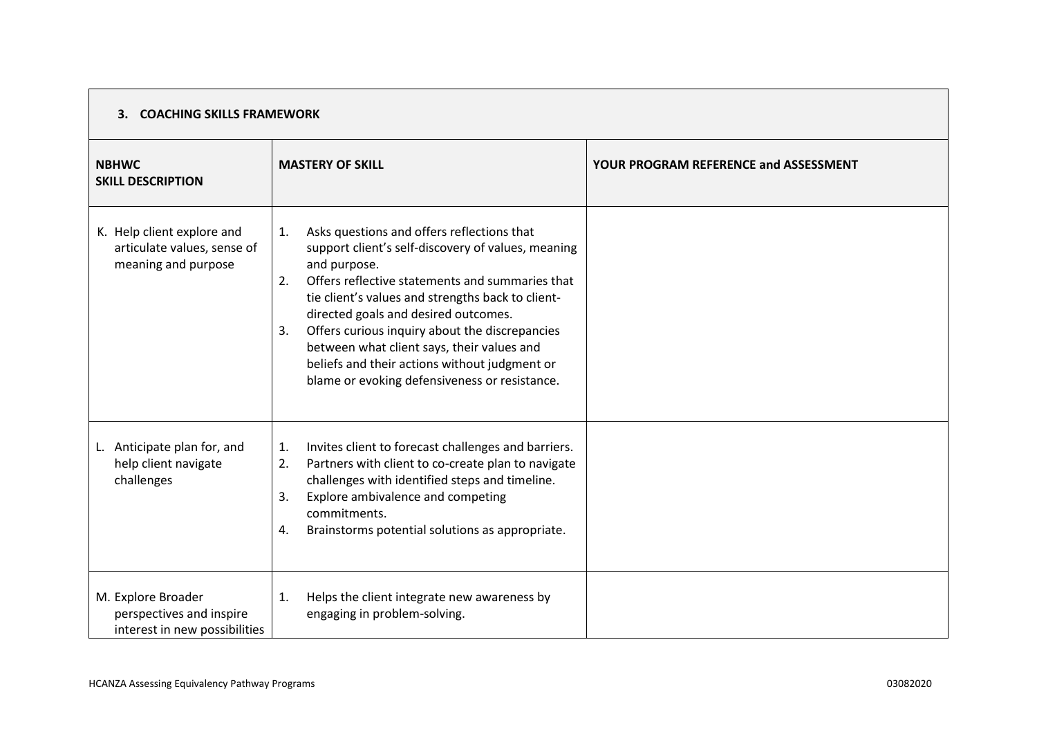| <b>NBHWC</b><br><b>SKILL DESCRIPTION</b>                                         | <b>MASTERY OF SKILL</b>                                                                                                                                                                                                                                                                                                                                                                                                                                                              | YOUR PROGRAM REFERENCE and ASSESSMENT |
|----------------------------------------------------------------------------------|--------------------------------------------------------------------------------------------------------------------------------------------------------------------------------------------------------------------------------------------------------------------------------------------------------------------------------------------------------------------------------------------------------------------------------------------------------------------------------------|---------------------------------------|
| K. Help client explore and<br>articulate values, sense of<br>meaning and purpose | Asks questions and offers reflections that<br>1.<br>support client's self-discovery of values, meaning<br>and purpose.<br>Offers reflective statements and summaries that<br>2.<br>tie client's values and strengths back to client-<br>directed goals and desired outcomes.<br>Offers curious inquiry about the discrepancies<br>3.<br>between what client says, their values and<br>beliefs and their actions without judgment or<br>blame or evoking defensiveness or resistance. |                                       |
| L. Anticipate plan for, and<br>help client navigate<br>challenges                | Invites client to forecast challenges and barriers.<br>1.<br>Partners with client to co-create plan to navigate<br>2.<br>challenges with identified steps and timeline.<br>Explore ambivalence and competing<br>3.<br>commitments.<br>Brainstorms potential solutions as appropriate.<br>4.                                                                                                                                                                                          |                                       |
| M. Explore Broader<br>perspectives and inspire<br>interest in new possibilities  | Helps the client integrate new awareness by<br>1.<br>engaging in problem-solving.                                                                                                                                                                                                                                                                                                                                                                                                    |                                       |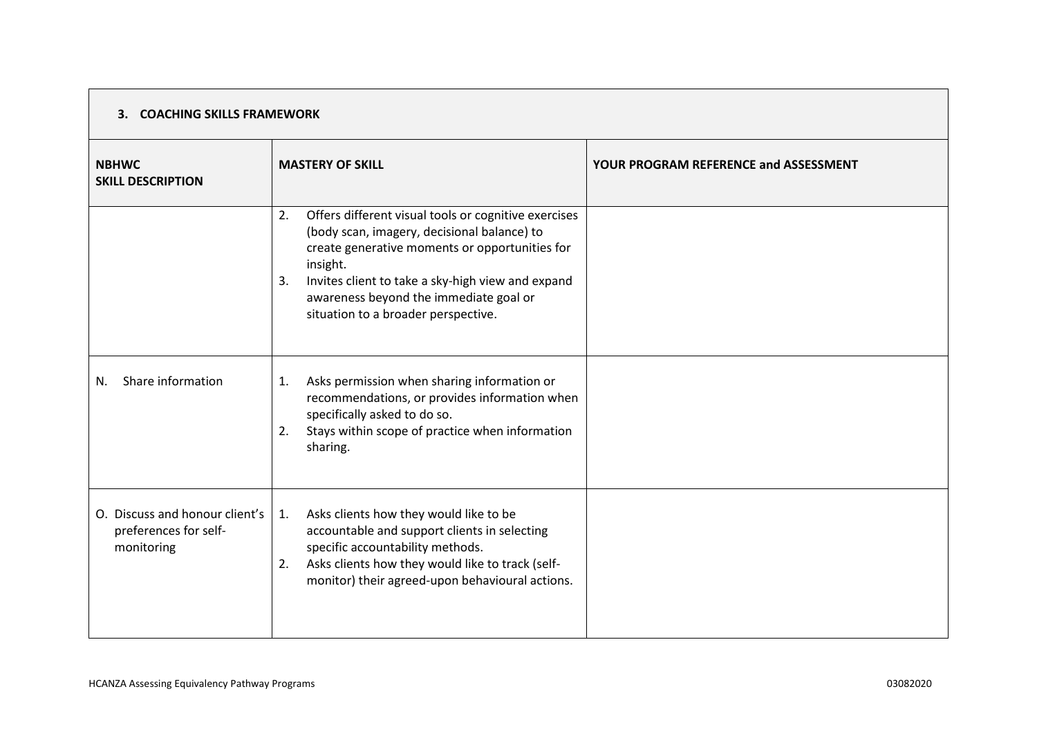| <b>NBHWC</b><br><b>SKILL DESCRIPTION</b>                              | <b>MASTERY OF SKILL</b>                                                                                                                                                                                                                                                                                             | YOUR PROGRAM REFERENCE and ASSESSMENT |
|-----------------------------------------------------------------------|---------------------------------------------------------------------------------------------------------------------------------------------------------------------------------------------------------------------------------------------------------------------------------------------------------------------|---------------------------------------|
|                                                                       | Offers different visual tools or cognitive exercises<br>2.<br>(body scan, imagery, decisional balance) to<br>create generative moments or opportunities for<br>insight.<br>Invites client to take a sky-high view and expand<br>3.<br>awareness beyond the immediate goal or<br>situation to a broader perspective. |                                       |
| Share information<br>N.                                               | Asks permission when sharing information or<br>1.<br>recommendations, or provides information when<br>specifically asked to do so.<br>Stays within scope of practice when information<br>2.<br>sharing.                                                                                                             |                                       |
| O. Discuss and honour client's<br>preferences for self-<br>monitoring | Asks clients how they would like to be<br>1.<br>accountable and support clients in selecting<br>specific accountability methods.<br>Asks clients how they would like to track (self-<br>2.<br>monitor) their agreed-upon behavioural actions.                                                                       |                                       |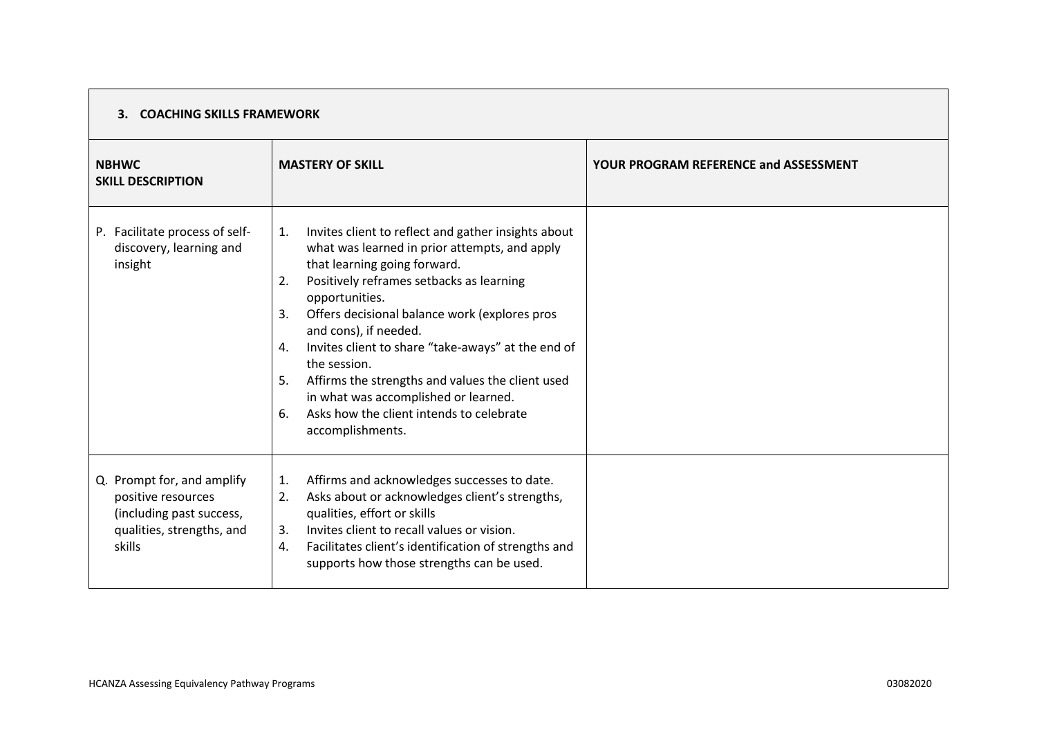| <b>NBHWC</b><br><b>SKILL DESCRIPTION</b>                                                                            | <b>MASTERY OF SKILL</b>                                                                                                                                                                                                                                                                                                                                                                                                                                                                                                                            | <b>YOUR PROGRAM REFERENCE and ASSESSMENT</b> |
|---------------------------------------------------------------------------------------------------------------------|----------------------------------------------------------------------------------------------------------------------------------------------------------------------------------------------------------------------------------------------------------------------------------------------------------------------------------------------------------------------------------------------------------------------------------------------------------------------------------------------------------------------------------------------------|----------------------------------------------|
| P. Facilitate process of self-<br>discovery, learning and<br>insight                                                | Invites client to reflect and gather insights about<br>1.<br>what was learned in prior attempts, and apply<br>that learning going forward.<br>Positively reframes setbacks as learning<br>2.<br>opportunities.<br>Offers decisional balance work (explores pros<br>3.<br>and cons), if needed.<br>Invites client to share "take-aways" at the end of<br>4.<br>the session.<br>Affirms the strengths and values the client used<br>5.<br>in what was accomplished or learned.<br>Asks how the client intends to celebrate<br>6.<br>accomplishments. |                                              |
| Q. Prompt for, and amplify<br>positive resources<br>(including past success,<br>qualities, strengths, and<br>skills | Affirms and acknowledges successes to date.<br>1.<br>Asks about or acknowledges client's strengths,<br>2.<br>qualities, effort or skills<br>Invites client to recall values or vision.<br>3.<br>Facilitates client's identification of strengths and<br>4.<br>supports how those strengths can be used.                                                                                                                                                                                                                                            |                                              |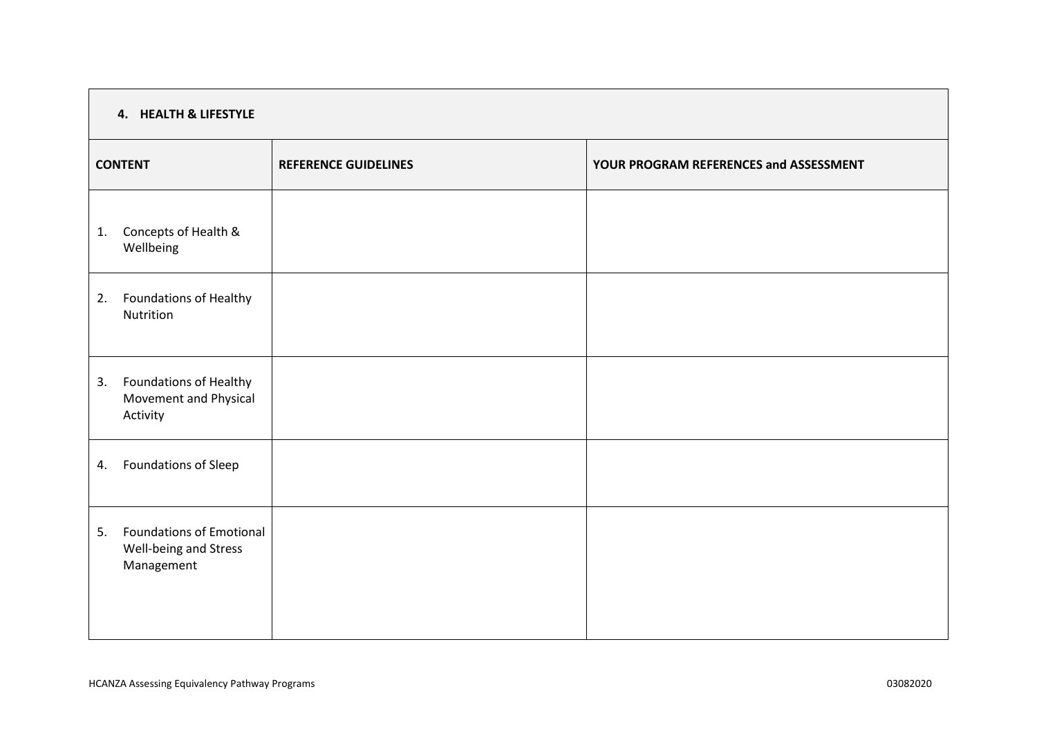| 4. HEALTH & LIFESTYLE |                                                                        |                             |                                        |  |  |
|-----------------------|------------------------------------------------------------------------|-----------------------------|----------------------------------------|--|--|
| <b>CONTENT</b>        |                                                                        | <b>REFERENCE GUIDELINES</b> | YOUR PROGRAM REFERENCES and ASSESSMENT |  |  |
| 1.                    | Concepts of Health &<br>Wellbeing                                      |                             |                                        |  |  |
| 2.                    | Foundations of Healthy<br>Nutrition                                    |                             |                                        |  |  |
| 3.                    | Foundations of Healthy<br>Movement and Physical<br>Activity            |                             |                                        |  |  |
| 4.                    | Foundations of Sleep                                                   |                             |                                        |  |  |
| 5.                    | <b>Foundations of Emotional</b><br>Well-being and Stress<br>Management |                             |                                        |  |  |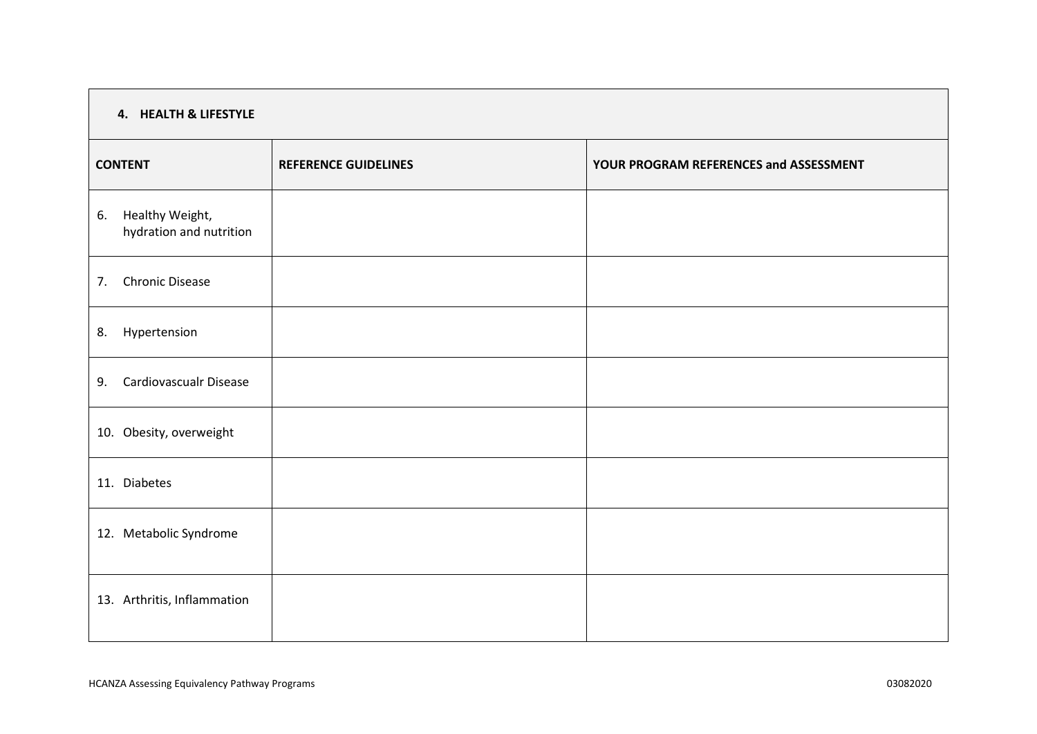| 4. HEALTH & LIFESTYLE                            |                             |                                        |  |  |  |
|--------------------------------------------------|-----------------------------|----------------------------------------|--|--|--|
| <b>CONTENT</b>                                   | <b>REFERENCE GUIDELINES</b> | YOUR PROGRAM REFERENCES and ASSESSMENT |  |  |  |
| Healthy Weight,<br>6.<br>hydration and nutrition |                             |                                        |  |  |  |
| <b>Chronic Disease</b><br>7.                     |                             |                                        |  |  |  |
| Hypertension<br>8.                               |                             |                                        |  |  |  |
| <b>Cardiovascualr Disease</b><br>9.              |                             |                                        |  |  |  |
| 10. Obesity, overweight                          |                             |                                        |  |  |  |
| 11. Diabetes                                     |                             |                                        |  |  |  |
| 12. Metabolic Syndrome                           |                             |                                        |  |  |  |
| 13. Arthritis, Inflammation                      |                             |                                        |  |  |  |